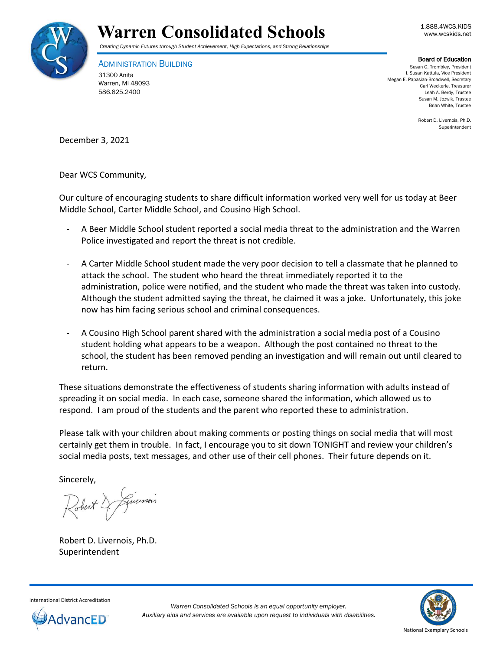



## *Creating Dynamic Futures through Student Achievement, High Expectations, and Strong Relationships*

ADMINISTRATION BUILDING 31300 Anita Warren, MI 48093 586.825.2400

## Board of Education

Susan G. Trombley, President I. Susan Kattula, Vice President Megan E. Papasian-Broadwell, Secretary Carl Weckerle, Treasurer Leah A. Berdy, Trustee Susan M. Jozwik, Trustee Brian White, Trustee

> Robert D. Livernois, Ph.D. Superintendent

December 3, 2021

Dear WCS Community,

Our culture of encouraging students to share difficult information worked very well for us today at Beer Middle School, Carter Middle School, and Cousino High School.

- A Beer Middle School student reported a social media threat to the administration and the Warren Police investigated and report the threat is not credible.
- A Carter Middle School student made the very poor decision to tell a classmate that he planned to attack the school. The student who heard the threat immediately reported it to the administration, police were notified, and the student who made the threat was taken into custody. Although the student admitted saying the threat, he claimed it was a joke. Unfortunately, this joke now has him facing serious school and criminal consequences.
- A Cousino High School parent shared with the administration a social media post of a Cousino student holding what appears to be a weapon. Although the post contained no threat to the school, the student has been removed pending an investigation and will remain out until cleared to return.

These situations demonstrate the effectiveness of students sharing information with adults instead of spreading it on social media. In each case, someone shared the information, which allowed us to respond. I am proud of the students and the parent who reported these to administration.

Please talk with your children about making comments or posting things on social media that will most certainly get them in trouble. In fact, I encourage you to sit down TONIGHT and review your children's social media posts, text messages, and other use of their cell phones. Their future depends on it.

Sincerely,

Johnt D. Guerrois

Robert D. Livernois, Ph.D. Superintendent

National Exemplary Schools

International District Accreditation